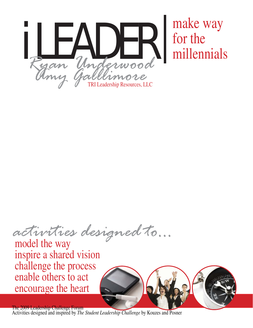

*activities designed to...*

model the way inspire a shared vision challenge the process enable others to act encourage the heart



The 2009 Leadership Challenge Forum Activities designed and inspired by *The Student Leadership Challenge* by Kouzes and Posner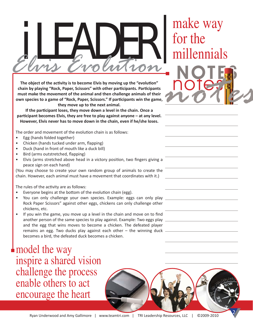## $\frac{1}{2}$   $\frac{1}{2}$   $\frac{1}{2}$   $\frac{1}{2}$   $\frac{1}{2}$   $\frac{1}{2}$   $\frac{1}{2}$   $\frac{1}{2}$   $\frac{1}{2}$   $\frac{1}{2}$   $\frac{1}{2}$   $\frac{1}{2}$   $\frac{1}{2}$   $\frac{1}{2}$   $\frac{1}{2}$   $\frac{1}{2}$   $\frac{1}{2}$   $\frac{1}{2}$   $\frac{1}{2}$   $\frac{1}{2}$   $\frac{1}{2}$   $\frac{1}{2}$  *Elvis Evolution*

The object of the activity is to become Elvis by moving up the "evolution" **chain by playing "Rock, Paper, Scissors" with other participants. Participants must make the movement of the animal and then challenge animals of their own species to a game of "Rock, Paper, Scissors." If parƟ cipants win the game, they move up to the next animal.** 

**If the parƟ cipant loses, they move down a level in the chain. Once a**  participant becomes Elvis, they are free to play against anyone – at any level. **However, Elvis never has to move down in the chain, even if he/she loses.** 

The order and movement of the evolution chain is as follows:

- Egg (hands folded together)
- Chicken (hands tucked under arm, flapping)
- Duck (hand in front of mouth like a duck bill)
- Bird (arms outstretched, flapping)
- Elvis (arms stretched above head in a victory position, two fingers giving a peace sign on each hand)

(You may choose to create your own random group of animals to create the chain. However, each animal must have a movement that coordinates with it.)

The rules of the activity are as follows:

- Everyone begins at the bottom of the evolution chain (egg).
- You can only challenge your own species. Example: eggs can only play Rock Paper Scissors" against other eggs, chickens can only challenge other chickens, etc.
- If you win the game, you move up a level in the chain and move on to find another person of the same species to play against. Example: Two eggs play and the egg that wins moves to become a chicken. The defeated player remains an egg. Two ducks play against each other – the winning duck becomes a bird, the defeated duck becomes a chicken.

## model the way inspire a shared vision challenge the process enable others to act encourage the heart

## for the millennials notes NOTES *notes*

2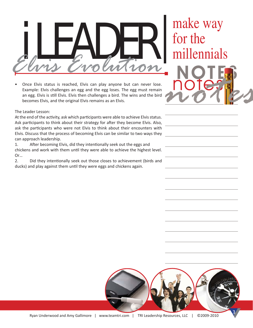## $\frac{1}{2}$   $\frac{1}{2}$   $\frac{1}{2}$   $\frac{1}{2}$   $\frac{1}{2}$   $\frac{1}{2}$   $\frac{1}{2}$   $\frac{1}{2}$   $\frac{1}{2}$   $\frac{1}{2}$   $\frac{1}{2}$   $\frac{1}{2}$   $\frac{1}{2}$   $\frac{1}{2}$   $\frac{1}{2}$   $\frac{1}{2}$   $\frac{1}{2}$   $\frac{1}{2}$   $\frac{1}{2}$   $\frac{1}{2}$   $\frac{1}{2}$   $\frac{1}{2}$  *Elvis Evolution*

Once Elvis status is reached, Elvis can play anyone but can never lose. Example: Elvis challenges an egg and the egg loses. The egg must remain an egg. Elvis is still Elvis. Elvis then challenges a bird. The wins and the bird becomes Elvis, and the original Elvis remains as an Elvis.

for the millennials notes NOTES *notes*

The Leader Lesson:

At the end of the activity, ask which participants were able to achieve Elvis status. Ask participants to think about their strategy for after they become Elvis. Also, ask the participants who were not Elvis to think about their encounters with Elvis. Discuss that the process of becoming Elvis can be similar to two ways they can approach leadership.

1. After becoming Elvis, did they intentionally seek out the eggs and chickens and work with them until they were able to achieve the highest level. Or…

2. Did they intentionally seek out those closes to achievement (birds and ducks) and play against them until they were eggs and chickens again.